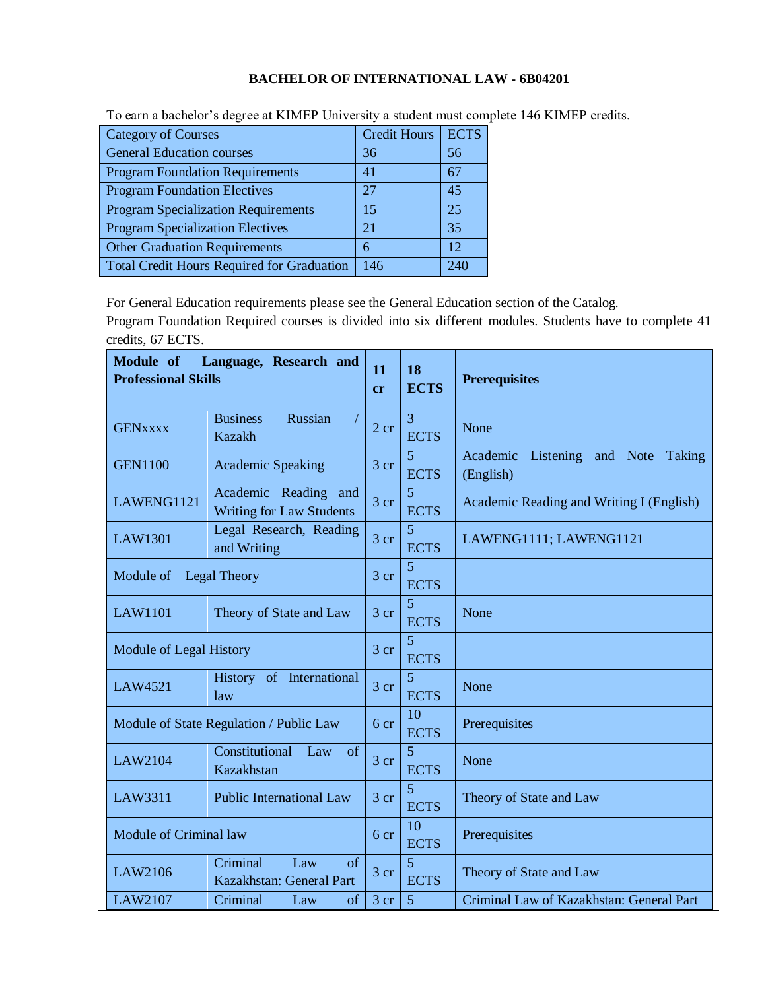## **BACHELOR OF INTERNATIONAL LAW - 6B04201**

| <b>Category of Courses</b>                        | <b>Credit Hours</b> | <b>ECTS</b> |
|---------------------------------------------------|---------------------|-------------|
| <b>General Education courses</b>                  | 36                  | 56          |
| <b>Program Foundation Requirements</b>            | 41                  | 67          |
| <b>Program Foundation Electives</b>               | 27                  | 45          |
| <b>Program Specialization Requirements</b>        | 15                  | 25          |
| <b>Program Specialization Electives</b>           | 21                  | 35          |
| <b>Other Graduation Requirements</b>              | 6                   | 12          |
| <b>Total Credit Hours Required for Graduation</b> | 146                 | 240         |

To earn a bachelor's degree at KIMEP University a student must complete 146 KIMEP credits.

For General Education requirements please see the General Education section of the Catalog.

Program Foundation Required courses is divided into six different modules. Students have to complete 41 credits, 67 ECTS.

| Module of<br><b>Professional Skills</b> | Language, Research and                                    | 11<br>cr        | 18<br><b>ECTS</b>             | <b>Prerequisites</b>                                         |
|-----------------------------------------|-----------------------------------------------------------|-----------------|-------------------------------|--------------------------------------------------------------|
| <b>GENXXXX</b>                          | <b>Business</b><br>Russian<br><b>Kazakh</b>               | 2 cr            | $\overline{3}$<br><b>ECTS</b> | None                                                         |
| <b>GEN1100</b>                          | <b>Academic Speaking</b>                                  | 3 <sub>cr</sub> | 5<br><b>ECTS</b>              | Listening and Note<br>Academic<br><b>Taking</b><br>(English) |
| LAWENG1121                              | Academic Reading and<br><b>Writing for Law Students</b>   | 3 <sub>cr</sub> | 5<br><b>ECTS</b>              | Academic Reading and Writing I (English)                     |
| LAW1301                                 | Legal Research, Reading<br>and Writing                    | 3 cr            | $\overline{5}$<br><b>ECTS</b> | LAWENG1111; LAWENG1121                                       |
| Module of                               | <b>Legal Theory</b>                                       | 3 <sub>cr</sub> | 5<br><b>ECTS</b>              |                                                              |
| <b>LAW1101</b>                          | Theory of State and Law                                   | 3 <sub>cr</sub> | $\overline{5}$<br><b>ECTS</b> | None                                                         |
| Module of Legal History                 |                                                           | 3 <sub>cr</sub> | 5<br><b>ECTS</b>              |                                                              |
| LAW4521                                 | History of International<br>law                           | 3 <sub>cr</sub> | 5<br><b>ECTS</b>              | None                                                         |
|                                         | Module of State Regulation / Public Law                   | 6 cr            | 10<br><b>ECTS</b>             | Prerequisites                                                |
| LAW2104                                 | Constitutional<br>Law of<br>Kazakhstan                    | 3 <sub>cr</sub> | 5<br><b>ECTS</b>              | None                                                         |
| LAW3311                                 | <b>Public International Law</b>                           | 3 <sub>cr</sub> | 5<br><b>ECTS</b>              | Theory of State and Law                                      |
| Module of Criminal law                  |                                                           | 6 cr            | 10<br><b>ECTS</b>             | Prerequisites                                                |
| LAW2106                                 | Criminal<br>Law<br>$\sigma$ f<br>Kazakhstan: General Part | 3 <sub>cr</sub> | 5<br><b>ECTS</b>              | Theory of State and Law                                      |
| LAW2107                                 | of<br>Criminal<br>Law                                     | 3 <sub>cr</sub> | 5                             | Criminal Law of Kazakhstan: General Part                     |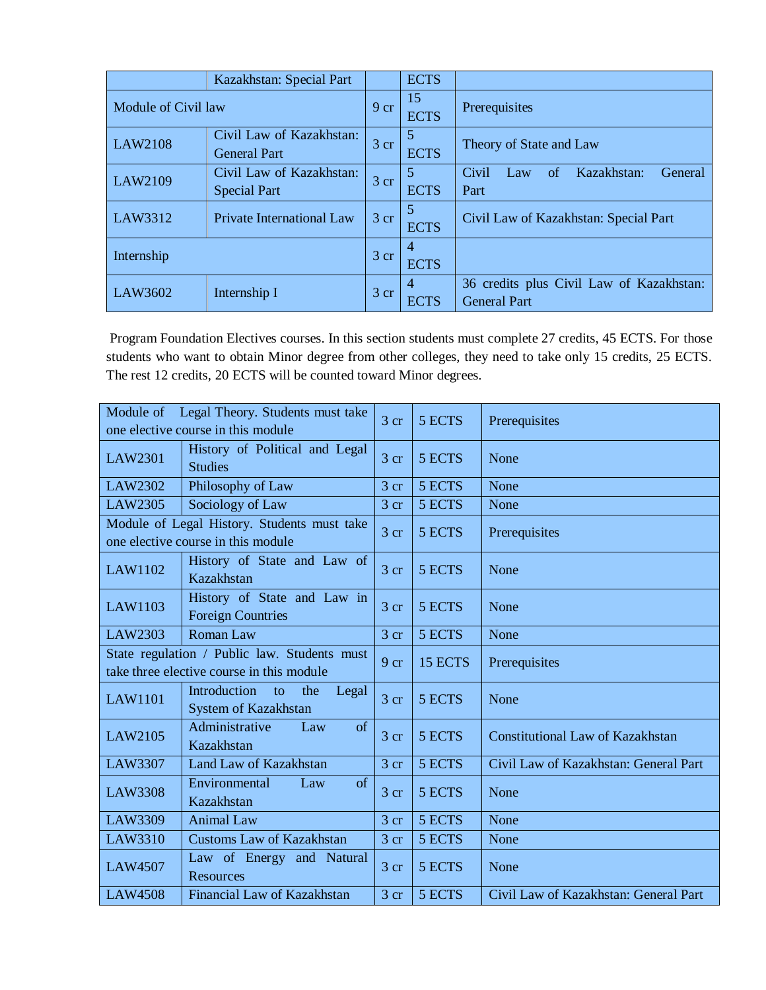|                     | Kazakhstan: Special Part                        |                 | <b>ECTS</b>                   |                                                                 |
|---------------------|-------------------------------------------------|-----------------|-------------------------------|-----------------------------------------------------------------|
| Module of Civil law |                                                 | 9 cr            | 15<br><b>ECTS</b>             | Prerequisites                                                   |
| <b>LAW2108</b>      | Civil Law of Kazakhstan:<br><b>General Part</b> | 3 cr            | 5<br><b>ECTS</b>              | Theory of State and Law                                         |
| LAW2109             | Civil Law of Kazakhstan:<br><b>Special Part</b> | 3 <sub>cr</sub> | 5<br><b>ECTS</b>              | Kazakhstan:<br>Civil<br>General<br>of<br>Law<br>Part            |
| LAW3312             | Private International Law                       | 3 cr            | 5<br><b>ECTS</b>              | Civil Law of Kazakhstan: Special Part                           |
| Internship          |                                                 | 3 cr            | 4<br><b>ECTS</b>              |                                                                 |
| LAW3602             | Internship I                                    | 3 <sub>cr</sub> | $\overline{4}$<br><b>ECTS</b> | 36 credits plus Civil Law of Kazakhstan:<br><b>General Part</b> |

Program Foundation Electives courses. In this section students must complete 27 credits, 45 ECTS. For those students who want to obtain Minor degree from other colleges, they need to take only 15 credits, 25 ECTS. The rest 12 credits, 20 ECTS will be counted toward Minor degrees.

|                                                                                           | Module of Legal Theory. Students must take                                        | 3 <sub>cr</sub> | 5 ECTS  | Prerequisites                           |
|-------------------------------------------------------------------------------------------|-----------------------------------------------------------------------------------|-----------------|---------|-----------------------------------------|
|                                                                                           | one elective course in this module                                                |                 |         |                                         |
| LAW2301                                                                                   | History of Political and Legal<br><b>Studies</b>                                  | $3 \text{ cr}$  | 5 ECTS  | None                                    |
| LAW2302                                                                                   | Philosophy of Law                                                                 | 3 <sub>cr</sub> | 5 ECTS  | None                                    |
| LAW2305                                                                                   | Sociology of Law                                                                  | 3 <sub>cr</sub> | 5 ECTS  | None                                    |
|                                                                                           | Module of Legal History. Students must take<br>one elective course in this module | 3 <sub>cr</sub> | 5 ECTS  | Prerequisites                           |
| LAW1102                                                                                   | History of State and Law of<br>Kazakhstan                                         | 3 <sub>cr</sub> | 5 ECTS  | None                                    |
| LAW1103                                                                                   | History of State and Law in<br><b>Foreign Countries</b>                           | 3 <sub>cr</sub> | 5 ECTS  | None                                    |
| LAW2303                                                                                   | <b>Roman Law</b>                                                                  | 3 <sub>cr</sub> | 5 ECTS  | None                                    |
| State regulation / Public law. Students must<br>take three elective course in this module |                                                                                   | 9 cr            | 15 ECTS | Prerequisites                           |
| <b>LAW1101</b>                                                                            | Introduction<br>Legal<br>to<br>the<br>System of Kazakhstan                        | 3 <sub>cr</sub> | 5 ECTS  | None                                    |
| LAW2105                                                                                   | Administrative<br>of<br>Law<br>Kazakhstan                                         | 3 <sub>cr</sub> | 5 ECTS  | <b>Constitutional Law of Kazakhstan</b> |
| LAW3307                                                                                   | Land Law of Kazakhstan                                                            | 3 <sub>cr</sub> | 5 ECTS  | Civil Law of Kazakhstan: General Part   |
| <b>LAW3308</b>                                                                            | Environmental<br><sub>of</sub><br>Law<br>Kazakhstan                               | 3 <sub>cr</sub> | 5 ECTS  | None                                    |
| LAW3309                                                                                   | <b>Animal Law</b>                                                                 | 3 <sub>cr</sub> | 5 ECTS  | None                                    |
| LAW3310                                                                                   | <b>Customs Law of Kazakhstan</b>                                                  | 3 cr            | 5 ECTS  | None                                    |
| <b>LAW4507</b>                                                                            | Law of Energy and Natural<br><b>Resources</b>                                     | 3 <sub>cr</sub> | 5 ECTS  | None                                    |
| <b>LAW4508</b>                                                                            | Financial Law of Kazakhstan                                                       | 3 <sub>cr</sub> | 5 ECTS  | Civil Law of Kazakhstan: General Part   |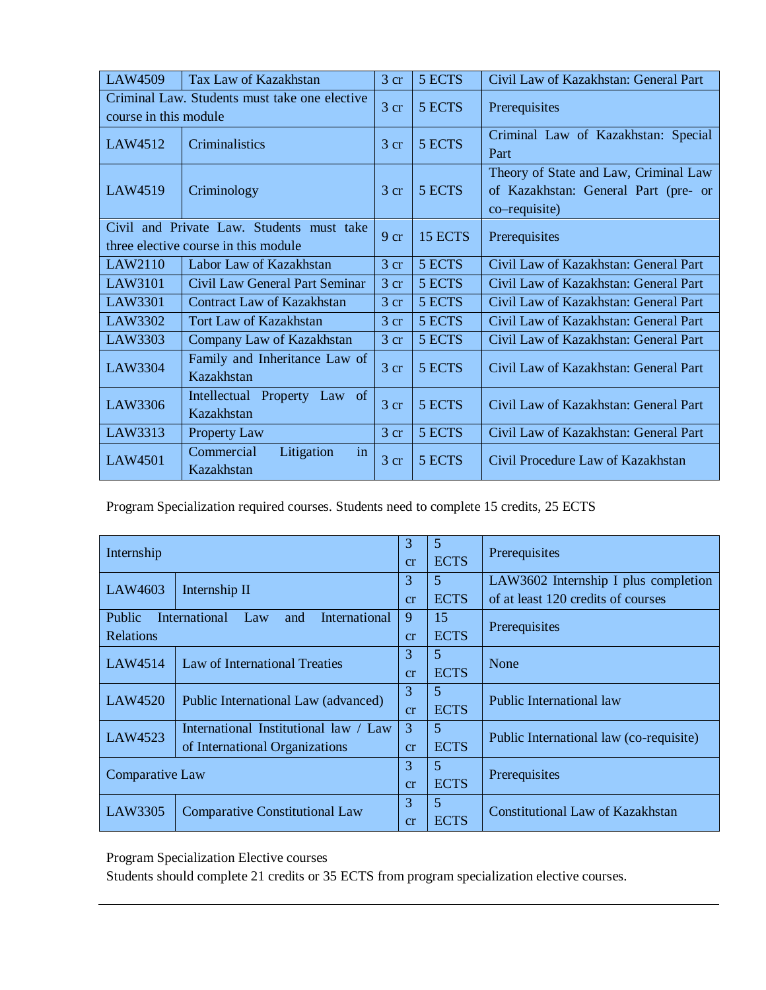| <b>LAW4509</b>                                                                    | Tax Law of Kazakhstan                            | 3 <sub>cr</sub> | 5 ECTS  | Civil Law of Kazakhstan: General Part                                                          |
|-----------------------------------------------------------------------------------|--------------------------------------------------|-----------------|---------|------------------------------------------------------------------------------------------------|
| course in this module                                                             | Criminal Law. Students must take one elective    | 3 <sub>cr</sub> | 5 ECTS  | Prerequisites                                                                                  |
| LAW4512                                                                           | Criminalistics                                   | $3 \text{ cr}$  | 5 ECTS  | Criminal Law of Kazakhstan: Special<br>Part                                                    |
| LAW4519                                                                           | Criminology                                      | $3 \text{ cr}$  | 5 ECTS  | Theory of State and Law, Criminal Law<br>of Kazakhstan: General Part (pre- or<br>co–requisite) |
| Civil and Private Law. Students must take<br>three elective course in this module |                                                  | 9 cr            | 15 ECTS | Prerequisites                                                                                  |
| LAW2110                                                                           | Labor Law of Kazakhstan                          | 3 <sub>cr</sub> | 5 ECTS  | Civil Law of Kazakhstan: General Part                                                          |
| LAW3101                                                                           | Civil Law General Part Seminar                   | $3 \text{ cr}$  | 5 ECTS  | Civil Law of Kazakhstan: General Part                                                          |
| LAW3301                                                                           | <b>Contract Law of Kazakhstan</b>                | 3 <sub>cr</sub> | 5 ECTS  | Civil Law of Kazakhstan: General Part                                                          |
| LAW3302                                                                           | Tort Law of Kazakhstan                           | 3 <sub>cr</sub> | 5 ECTS  | Civil Law of Kazakhstan: General Part                                                          |
| LAW3303                                                                           | Company Law of Kazakhstan                        | 3 <sub>cr</sub> | 5 ECTS  | Civil Law of Kazakhstan: General Part                                                          |
| LAW3304                                                                           | Family and Inheritance Law of<br>Kazakhstan      | 3 <sub>cr</sub> | 5 ECTS  | Civil Law of Kazakhstan: General Part                                                          |
| LAW3306                                                                           | Intellectual<br>Property<br>Law of<br>Kazakhstan | 3 <sub>cr</sub> | 5 ECTS  | Civil Law of Kazakhstan: General Part                                                          |
| LAW3313                                                                           | <b>Property Law</b>                              | 3 <sub>cr</sub> | 5 ECTS  | Civil Law of Kazakhstan: General Part                                                          |
| <b>LAW4501</b>                                                                    | Commercial<br>Litigation<br>in<br>Kazakhstan     | 3 <sub>cr</sub> | 5 ECTS  | Civil Procedure Law of Kazakhstan                                                              |

Program Specialization required courses. Students need to complete 15 credits, 25 ECTS

| Internship                                |                                           | 3           | $\overline{5}$ | Prerequisites                           |  |
|-------------------------------------------|-------------------------------------------|-------------|----------------|-----------------------------------------|--|
|                                           |                                           |             | <b>ECTS</b>    |                                         |  |
|                                           |                                           | 3           | $\mathfrak{S}$ | LAW3602 Internship I plus completion    |  |
| LAW4603                                   | Internship II                             | cr          | <b>ECTS</b>    | of at least 120 credits of courses      |  |
| <b>Public</b>                             | International Law<br>International<br>and | 9           | 15             |                                         |  |
| <b>Relations</b>                          |                                           | cr          | <b>ECTS</b>    | Prerequisites                           |  |
|                                           |                                           | 3           | 5              |                                         |  |
| LAW4514<br>Law of International Treaties  | cr                                        | <b>ECTS</b> | None           |                                         |  |
| <b>LAW4520</b>                            | Public International Law (advanced)       | 3           | 5              | Public International law                |  |
|                                           |                                           | cr          | <b>ECTS</b>    |                                         |  |
|                                           | International Institutional law / Law     | 3           | $\overline{5}$ |                                         |  |
| LAW4523<br>of International Organizations |                                           | cr          | <b>ECTS</b>    | Public International law (co-requisite) |  |
|                                           |                                           | 3           | 5              |                                         |  |
| Comparative Law                           |                                           | cr          | <b>ECTS</b>    | Prerequisites                           |  |
|                                           |                                           | 3           | 5              |                                         |  |
| LAW3305                                   | <b>Comparative Constitutional Law</b>     | cr          | <b>ECTS</b>    | Constitutional Law of Kazakhstan        |  |

Program Specialization Elective courses

Students should complete 21 credits or 35 ECTS from program specialization elective courses.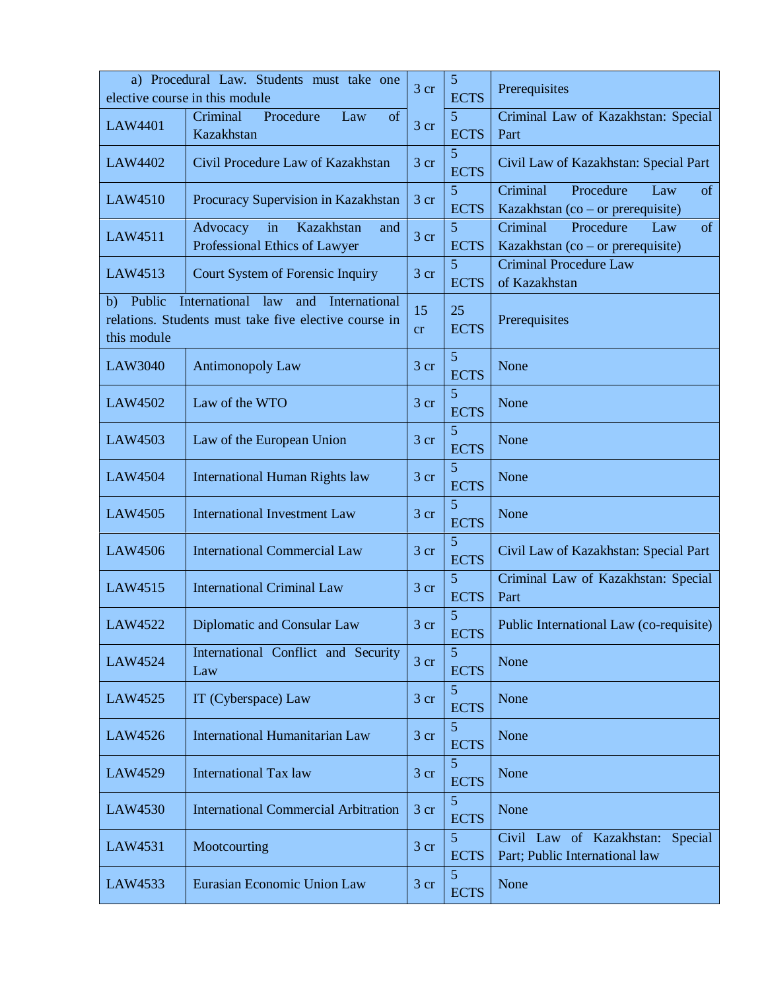|                             | a) Procedural Law. Students must take one<br>3 cr<br>elective course in this module                   |                 |                               | Prerequisites                                                           |  |  |
|-----------------------------|-------------------------------------------------------------------------------------------------------|-----------------|-------------------------------|-------------------------------------------------------------------------|--|--|
|                             | Procedure<br>Criminal<br>of<br>Law                                                                    |                 | <b>ECTS</b><br>5              | Criminal Law of Kazakhstan: Special                                     |  |  |
| LAW4401                     | Kazakhstan                                                                                            | 3 <sub>cr</sub> | <b>ECTS</b>                   | Part                                                                    |  |  |
| <b>LAW4402</b>              | Civil Procedure Law of Kazakhstan                                                                     | $3 \text{ cr}$  | 5<br><b>ECTS</b>              | Civil Law of Kazakhstan: Special Part                                   |  |  |
| LAW4510                     | Procuracy Supervision in Kazakhstan                                                                   | $3$ cr          | 5<br><b>ECTS</b>              | Criminal<br>Procedure<br>Law<br>of<br>Kazakhstan (co – or prerequisite) |  |  |
| LAW4511                     | Kazakhstan<br>Advocacy<br>in<br>and<br>Professional Ethics of Lawyer                                  | 3 <sub>cr</sub> | 5<br><b>ECTS</b>              | Criminal<br>Procedure<br>of<br>Law<br>Kazakhstan (co – or prerequisite) |  |  |
| LAW4513                     | Court System of Forensic Inquiry                                                                      | 3 cr            | 5<br><b>ECTS</b>              | <b>Criminal Procedure Law</b><br>of Kazakhstan                          |  |  |
| Public<br>b)<br>this module | International<br>law<br>and<br>International<br>relations. Students must take five elective course in | 15<br>cr        | 25<br><b>ECTS</b>             | Prerequisites                                                           |  |  |
| LAW3040                     | Antimonopoly Law                                                                                      | $3$ cr          | 5<br><b>ECTS</b>              | None                                                                    |  |  |
| <b>LAW4502</b>              | Law of the WTO                                                                                        | 3 <sub>cr</sub> | 5<br><b>ECTS</b>              | None                                                                    |  |  |
| LAW4503                     | Law of the European Union                                                                             | 3 <sub>cr</sub> | 5<br><b>ECTS</b>              | None                                                                    |  |  |
| <b>LAW4504</b>              | <b>International Human Rights law</b>                                                                 | 3 cr            | 5<br><b>ECTS</b>              | None                                                                    |  |  |
| LAW4505                     | <b>International Investment Law</b>                                                                   | 3 cr            | 5<br><b>ECTS</b>              | None                                                                    |  |  |
| <b>LAW4506</b>              | <b>International Commercial Law</b>                                                                   | 3 <sub>cr</sub> | 5<br><b>ECTS</b>              | Civil Law of Kazakhstan: Special Part                                   |  |  |
| LAW4515                     | <b>International Criminal Law</b>                                                                     | 3 cr            | $\overline{5}$<br><b>ECTS</b> | Criminal Law of Kazakhstan: Special<br>Part                             |  |  |
| LAW4522                     | Diplomatic and Consular Law                                                                           | 3 <sub>cr</sub> | 5<br><b>ECTS</b>              | Public International Law (co-requisite)                                 |  |  |
| LAW4524                     | International Conflict and Security<br>Law                                                            | 3 <sub>cr</sub> | 5<br><b>ECTS</b>              | None                                                                    |  |  |
| LAW4525                     | IT (Cyberspace) Law                                                                                   | 3 cr            | 5<br><b>ECTS</b>              | None                                                                    |  |  |
| LAW4526                     | <b>International Humanitarian Law</b>                                                                 | 3 <sub>cr</sub> | 5<br><b>ECTS</b>              | None                                                                    |  |  |
| LAW4529                     | <b>International Tax law</b>                                                                          | 3 cr            | 5<br><b>ECTS</b>              | None                                                                    |  |  |
| LAW4530                     | <b>International Commercial Arbitration</b>                                                           | 3 <sub>cr</sub> | 5<br><b>ECTS</b>              | None                                                                    |  |  |
| LAW4531                     | Mootcourting                                                                                          | 3 cr            | 5<br><b>ECTS</b>              | Civil Law of Kazakhstan: Special<br>Part; Public International law      |  |  |
| LAW4533                     | Eurasian Economic Union Law                                                                           | 3 cr            | 5<br><b>ECTS</b>              | None                                                                    |  |  |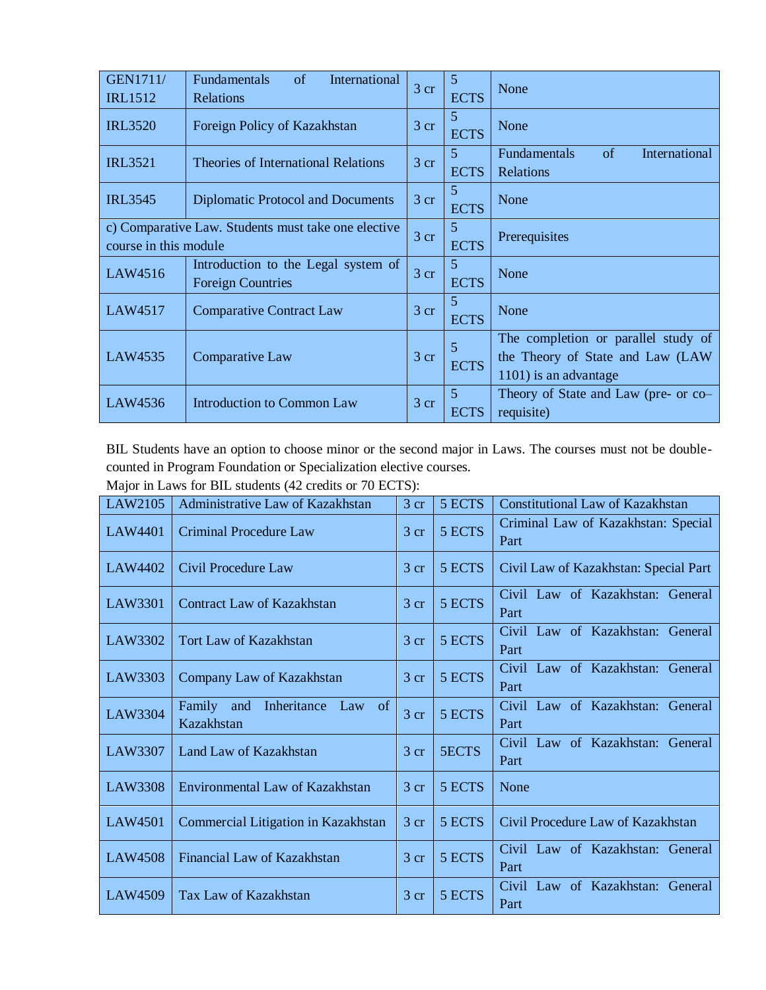| <b>GEN1711/</b><br><b>IRL1512</b>                                            | International<br>Fundamentals<br>of<br>Relations                | 3 <sub>cr</sub> | -5<br><b>ECTS</b> | None                                                                                              |
|------------------------------------------------------------------------------|-----------------------------------------------------------------|-----------------|-------------------|---------------------------------------------------------------------------------------------------|
| <b>IRL3520</b>                                                               | Foreign Policy of Kazakhstan                                    | 3 cr            | 5<br><b>ECTS</b>  | None                                                                                              |
| <b>IRL3521</b>                                                               | Theories of International Relations                             | $3$ cr          | 5<br><b>ECTS</b>  | of<br><b>Fundamentals</b><br>International<br><b>Relations</b>                                    |
| <b>IRL3545</b>                                                               | Diplomatic Protocol and Documents                               | $3$ cr          | 5<br><b>ECTS</b>  | None                                                                                              |
| c) Comparative Law. Students must take one elective<br>course in this module |                                                                 | 3 <sub>cr</sub> | 5<br><b>ECTS</b>  | Prerequisites                                                                                     |
| LAW4516                                                                      | Introduction to the Legal system of<br><b>Foreign Countries</b> | 3 <sub>cr</sub> | 5<br><b>ECTS</b>  | None                                                                                              |
| LAW4517                                                                      | <b>Comparative Contract Law</b>                                 | 3 <sub>cr</sub> | 5<br><b>ECTS</b>  | None                                                                                              |
| LAW4535                                                                      | Comparative Law                                                 |                 | 5<br><b>ECTS</b>  | The completion or parallel study of<br>the Theory of State and Law (LAW)<br>1101) is an advantage |
| LAW4536                                                                      | <b>Introduction to Common Law</b>                               | 3 <sub>cr</sub> | 5<br><b>ECTS</b>  | Theory of State and Law (pre- or co-<br>requisite)                                                |

BIL Students have an option to choose minor or the second major in Laws. The courses must not be doublecounted in Program Foundation or Specialization elective courses.

| Major in Laws for BIL students (42 credits or 70 ECTS): |  |
|---------------------------------------------------------|--|
|---------------------------------------------------------|--|

| LAW2105        | Administrative Law of Kazakhstan               | 3 <sub>cr</sub> | 5 ECTS | <b>Constitutional Law of Kazakhstan</b>     |
|----------------|------------------------------------------------|-----------------|--------|---------------------------------------------|
| LAW4401        | <b>Criminal Procedure Law</b>                  | $3 \text{ cr}$  | 5 ECTS | Criminal Law of Kazakhstan: Special<br>Part |
| LAW4402        | Civil Procedure Law                            | $3 \text{ cr}$  | 5 ECTS | Civil Law of Kazakhstan: Special Part       |
| LAW3301        | Contract Law of Kazakhstan                     | 3 cr            | 5 ECTS | Civil Law of Kazakhstan: General<br>Part    |
| LAW3302        | <b>Tort Law of Kazakhstan</b>                  | 3 <sub>cr</sub> | 5 ECTS | Civil Law of Kazakhstan: General<br>Part    |
| LAW3303        | Company Law of Kazakhstan                      | $3$ cr          | 5 ECTS | Civil Law of Kazakhstan: General<br>Part    |
| LAW3304        | Family and Inheritance Law<br>of<br>Kazakhstan | 3 <sub>cr</sub> | 5 ECTS | Civil Law of Kazakhstan: General<br>Part    |
| LAW3307        | Land Law of Kazakhstan                         | 3 <sub>cr</sub> | 5ECTS  | Civil Law of Kazakhstan: General<br>Part    |
| LAW3308        | Environmental Law of Kazakhstan                | 3 <sub>cr</sub> | 5 ECTS | None                                        |
| <b>LAW4501</b> | Commercial Litigation in Kazakhstan            | 3 <sub>cr</sub> | 5 ECTS | Civil Procedure Law of Kazakhstan           |
| <b>LAW4508</b> | Financial Law of Kazakhstan                    | $3$ cr          | 5 ECTS | Civil Law of Kazakhstan: General<br>Part    |
| LAW4509        | Tax Law of Kazakhstan                          | 3 <sub>cr</sub> | 5 ECTS | Civil Law of Kazakhstan: General<br>Part    |